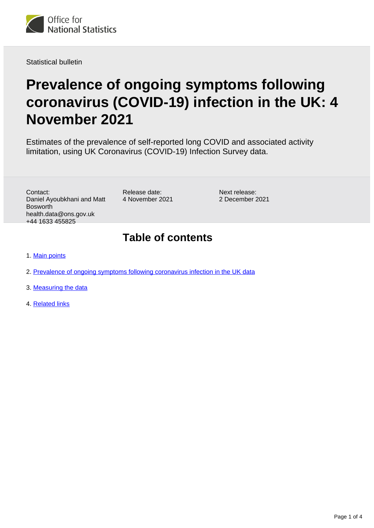

Statistical bulletin

# **Prevalence of ongoing symptoms following coronavirus (COVID-19) infection in the UK: 4 November 2021**

Estimates of the prevalence of self-reported long COVID and associated activity limitation, using UK Coronavirus (COVID-19) Infection Survey data.

Contact: Daniel Ayoubkhani and Matt Bosworth health.data@ons.gov.uk +44 1633 455825

Release date: 4 November 2021

Next release: 2 December 2021

#### **Table of contents**

- 1. [Main points](#page-1-0)
- 2. [Prevalence of ongoing symptoms following coronavirus infection in the UK data](#page-1-1)
- 3. [Measuring the data](#page-2-0)
- 4. [Related links](#page-3-0)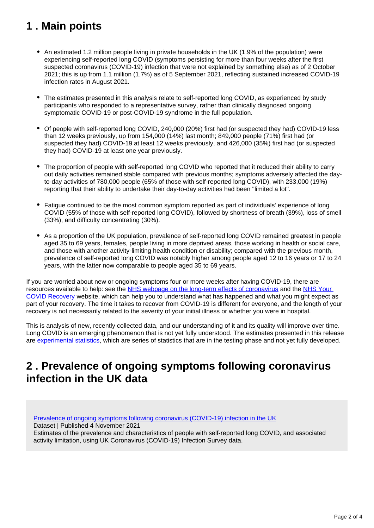### <span id="page-1-0"></span>**1 . Main points**

- An estimated 1.2 million people living in private households in the UK (1.9% of the population) were experiencing self-reported long COVID (symptoms persisting for more than four weeks after the first suspected coronavirus (COVID-19) infection that were not explained by something else) as of 2 October 2021; this is up from 1.1 million (1.7%) as of 5 September 2021, reflecting sustained increased COVID-19 infection rates in August 2021.
- The estimates presented in this analysis relate to self-reported long COVID, as experienced by study participants who responded to a representative survey, rather than clinically diagnosed ongoing symptomatic COVID-19 or post-COVID-19 syndrome in the full population.
- Of people with self-reported long COVID, 240,000 (20%) first had (or suspected they had) COVID-19 less than 12 weeks previously, up from 154,000 (14%) last month; 849,000 people (71%) first had (or suspected they had) COVID-19 at least 12 weeks previously, and 426,000 (35%) first had (or suspected they had) COVID-19 at least one year previously.
- The proportion of people with self-reported long COVID who reported that it reduced their ability to carry out daily activities remained stable compared with previous months; symptoms adversely affected the dayto-day activities of 780,000 people (65% of those with self-reported long COVID), with 233,000 (19%) reporting that their ability to undertake their day-to-day activities had been "limited a lot".
- Fatigue continued to be the most common symptom reported as part of individuals' experience of long COVID (55% of those with self-reported long COVID), followed by shortness of breath (39%), loss of smell (33%), and difficulty concentrating (30%).
- As a proportion of the UK population, prevalence of self-reported long COVID remained greatest in people aged 35 to 69 years, females, people living in more deprived areas, those working in health or social care, and those with another activity-limiting health condition or disability; compared with the previous month, prevalence of self-reported long COVID was notably higher among people aged 12 to 16 years or 17 to 24 years, with the latter now comparable to people aged 35 to 69 years.

If you are worried about new or ongoing symptoms four or more weeks after having COVID-19, there are resources available to help: see the [NHS webpage on the long-term effects of coronavirus](https://www.nhs.uk/conditions/coronavirus-covid-19/long-term-effects-of-coronavirus-long-covid/) and the NHS Your [COVID Recovery](https://www.yourcovidrecovery.nhs.uk/) website, which can help you to understand what has happened and what you might expect as part of your recovery. The time it takes to recover from COVID-19 is different for everyone, and the length of your recovery is not necessarily related to the severity of your initial illness or whether you were in hospital.

This is analysis of new, recently collected data, and our understanding of it and its quality will improve over time. Long COVID is an emerging phenomenon that is not yet fully understood. The estimates presented in this release are [experimental statistics,](https://www.ons.gov.uk/methodology/methodologytopicsandstatisticalconcepts/guidetoexperimentalstatistics) which are series of statistics that are in the testing phase and not yet fully developed.

#### <span id="page-1-1"></span>**2 . Prevalence of ongoing symptoms following coronavirus infection in the UK data**

[Prevalence of ongoing symptoms following coronavirus \(COVID-19\) infection in the UK](https://www.ons.gov.uk/peoplepopulationandcommunity/healthandsocialcare/conditionsanddiseases/datasets/alldatarelatingtoprevalenceofongoingsymptomsfollowingcoronaviruscovid19infectionintheuk)

Dataset | Published 4 November 2021

Estimates of the prevalence and characteristics of people with self-reported long COVID, and associated activity limitation, using UK Coronavirus (COVID-19) Infection Survey data.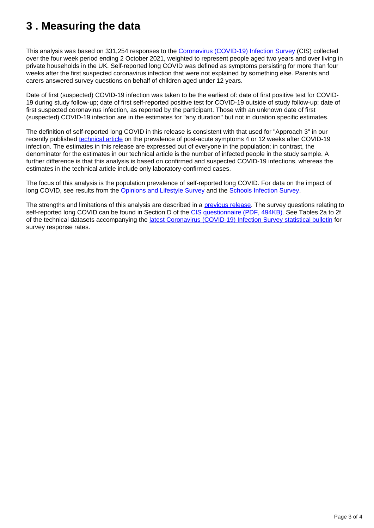### <span id="page-2-0"></span>**3 . Measuring the data**

This analysis was based on 331,254 responses to the [Coronavirus \(COVID-19\) Infection Survey](https://www.ons.gov.uk/peoplepopulationandcommunity/healthandsocialcare/conditionsanddiseases/methodologies/covid19infectionsurveypilotmethodsandfurtherinformation) (CIS) collected over the four week period ending 2 October 2021, weighted to represent people aged two years and over living in private households in the UK. Self-reported long COVID was defined as symptoms persisting for more than four weeks after the first suspected coronavirus infection that were not explained by something else. Parents and carers answered survey questions on behalf of children aged under 12 years.

Date of first (suspected) COVID-19 infection was taken to be the earliest of: date of first positive test for COVID-19 during study follow-up; date of first self-reported positive test for COVID-19 outside of study follow-up; date of first suspected coronavirus infection, as reported by the participant. Those with an unknown date of first (suspected) COVID-19 infection are in the estimates for "any duration" but not in duration specific estimates.

The definition of self-reported long COVID in this release is consistent with that used for "Approach 3" in our recently published [technical article](https://www.ons.gov.uk/peoplepopulationandcommunity/healthandsocialcare/conditionsanddiseases/articles/technicalarticleupdatedestimatesoftheprevalenceofpostacutesymptomsamongpeoplewithcoronaviruscovid19intheuk/26april2020to1august2021) on the prevalence of post-acute symptoms 4 or 12 weeks after COVID-19 infection. The estimates in this release are expressed out of everyone in the population; in contrast, the denominator for the estimates in our technical article is the number of infected people in the study sample. A further difference is that this analysis is based on confirmed and suspected COVID-19 infections, whereas the estimates in the technical article include only laboratory-confirmed cases.

The focus of this analysis is the population prevalence of self-reported long COVID. For data on the impact of long COVID, see results from the [Opinions and Lifestyle Survey](https://www.ons.gov.uk/peoplepopulationandcommunity/healthandsocialcare/conditionsanddiseases/articles/coronavirusandthesocialimpactsoflongcovidonpeopleslivesingreatbritain/7aprilto13june2021) and the [Schools Infection Survey](https://www.ons.gov.uk/peoplepopulationandcommunity/healthandsocialcare/conditionsanddiseases/bulletins/covid19schoolsinfectionsurveyenglandprevalenceofongoingsymptomsfollowingcoronaviruscovid19infectioninschoolpupilsandstaff/july2021).

The strengths and limitations of this analysis are described in a **previous release**. The survey questions relating to self-reported long COVID can be found in Section D of the [CIS questionnaire \(PDF, 494KB\).](https://www.ndm.ox.ac.uk/files/coronavirus/covid-19-infection-survey/crf5participantfollowupvisitv10-020210518.pdf) See Tables 2a to 2f of the technical datasets accompanying the [latest Coronavirus \(COVID-19\) Infection Survey statistical bulletin](https://www.ons.gov.uk/peoplepopulationandcommunity/healthandsocialcare/conditionsanddiseases/bulletins/coronaviruscovid19infectionsurveypilot/latest) for survey response rates.